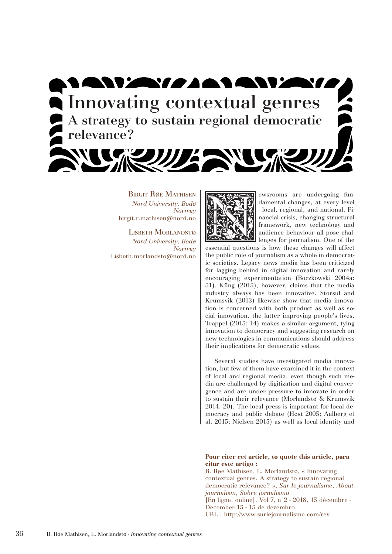

**BIRGIT RØE MATHISEN** *Nord University, Bodø Norway* birgit.r.mathisen@nord.no

Lisbeth Morlandstø *Nord University, Bodø Norway* Lisbeth.morlandsto@nord.no



ENERGI ewsrooms are undergoing fun-<br>
almental changes, at every level<br>
local, regional, and national. Fi-<br>
anarcial crisis, changing structural<br>
framework, new technology and<br>
audience behaviour all pose chal-<br>
lenges for damental changes, at every level - local, regional, and national. Financial crisis, changing structural framework, new technology and audience behaviour all pose challenges for journalism. One of the

essential questions is how these changes will affect the public role of journalism as a whole in democratic societies. Legacy news media has been criticized for lagging behind in digital innovation and rarely encouraging experimentation (Boczkowski 2004a: 51). Küng (2015), however, claims that the media industry always has been innovative. Storsul and Krumsvik (2013) likewise show that media innovation is concerned with both product as well as social innovation, the latter improving people's lives. Trappel (2015: 14) makes a similar argument, tying innovation to democracy and suggesting research on new technologies in communications should address their implications for democratic values.

Several studies have investigated media innovation, but few of them have examined it in the context of local and regional media, even though such media are challenged by digitization and digital convergence and are under pressure to innovate in order to sustain their relevance (Morlandstø & Krumsvik 2014, 20). The local press is important for local democracy and public debate (Høst 2005; Aalberg et al. 2015; Nielsen 2015) as well as local identity and

# **Pour citer cet article, to quote this article, para citar este artigo :**

B. Røe Mathisen, L. Morlandstø, « Innovating contextual genres. A strategy to sustain regional democratic relevance? », *Sur le journalisme, About journalism, Sobre jornalismo* [En ligne, online], Vol 7, n°2 - 2018, 15 décembre - December 15 - 15 de dezembro.

URL : http://www.surlejournalisme.com/rev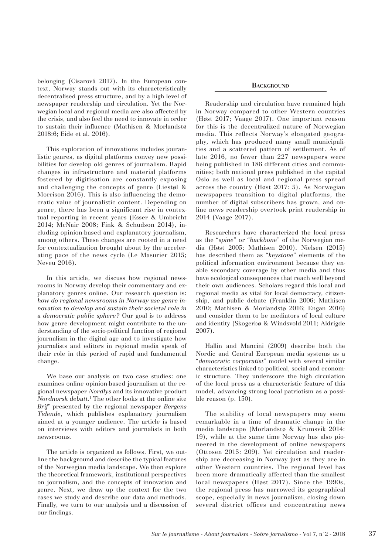belonging (Císarová 2017). In the European context, Norway stands out with its characteristically decentralised press structure, and by a high level of newspaper readership and circulation. Yet the Norwegian local and regional media are also affected by the crisis, and also feel the need to innovate in order to sustain their influence (Mathisen & Morlandstø 2018:6; Eide et al. 2016).

This exploration of innovations includes jouranlistic genres, as digital platforms convey new possibilities for develop old genres of journalism. Rapid changes in infrastructure and material platforms fostered by digitisation are constantly exposing and challenging the concepts of genre (Liestøl & Morrison 2016). This is also influencing the democratic value of journalistic content. Depending on genre, there has been a significant rise in contextual reporting in recent years (Esser & Umbricht 2014; McNair 2008; Fink & Schudson 2014), including opinion-based and explanatory journalism, among others. These changes are rooted in a need for contextualization brought about by the accelerating pace of the news cycle (Le Masurier 2015; Neveu 2016).

In this article, we discuss how regional newsrooms in Norway develop their commentary and explanatory genres online. Our research question is: *how do regional newsrooms in Norway use genre innovation to develop and sustain their societal role in a democratic public sphere?* Our goal is to address how genre development might contribute to the understanding of the socio-political function of regional journalism in the digital age and to investigate how journalists and editors in regional media speak of their role in this period of rapid and fundamental change.

We base our analysis on two case studies: one examines online opinion-based journalism at the regional newspaper *Nordlys* and its innovative product *Nordnorsk debatt*. 1 The other looks at the online site *Brif2* presented by the regional newspaper *Bergens Tidende*, which publishes explanatory journalism aimed at a younger audience. The article is based on interviews with editors and journalists in both newsrooms.

The article is organized as follows. First, we outline the background and describe the typical features of the Norwegian media landscape. We then explore the theoretical framework, institutional perspectives on journalism, and the concepts of innovation and genre. Next, we draw up the context for the two cases we study and describe our data and methods. Finally, we turn to our analysis and a discussion of our findings.

# **BACKGROUND**

Readership and circulation have remained high in Norway compared to other Western countries (Høst 2017; Vaage 2017). One important reason for this is the decentralized nature of Norwegian media. This reflects Norway's elongated geography, which has produced many small municipalities and a scattered pattern of settlement. As of late 2016, no fewer than 227 newspapers were being published in 186 different cities and communities; both national press published in the capital Oslo as well as local and regional press spread across the country (Høst 2017: 5). As Norwegian newspapers transition to digital platforms, the number of digital subscribers has grown, and online news readership overtook print readership in 2014 (Vaage 2017).

Researchers have characterized the local press as the "*spine*" or "*backbone*" of the Norwegian media (Høst 2005; Mathisen 2010). Nielsen (2015) has described them as "*keystone*" elements of the political information environment because they enable secondary coverage by other media and thus have ecological consequences that reach well beyond their own audiences. Scholars regard this local and regional media as vital for local democracy, citizenship, and public debate (Franklin 2006; Mathisen 2010; Mathisen & Morlandstø 2016; Engan 2016) and consider them to be mediators of local culture and identity (Skogerbø & Windsvold 2011; Aldrigde 2007).

Hallin and Mancini (2009) describe both the Nordic and Central European media systems as a "*democratic corporatist*" model with several similar characteristics linked to political, social and economic structure. They underscore the high circulation of the local press as a characteristic feature of this model, advancing strong local patriotism as a possible reason (p. 150).

The stability of local newspapers may seem remarkable in a time of dramatic change in the media landscape (Morlandstø & Krumsvik 2014: 19), while at the same time Norway has also pioneered in the development of online newspapers (Ottosen 2015: 209). Yet circulation and readership are decreasing in Norway just as they are in other Western countries. The regional level has been more dramatically affected than the smallest local newspapers (Høst 2017). Since the 1990s, the regional press has narrowed its geographical scope, especially in news journalism, closing down several district offices and concentrating news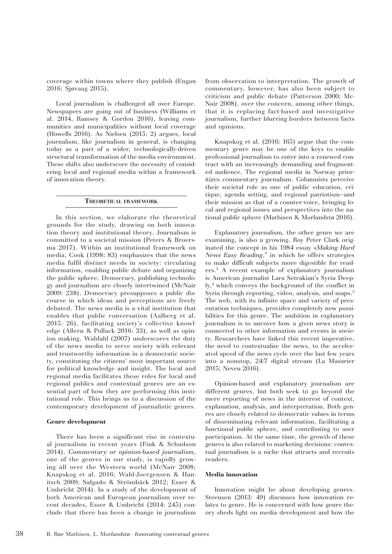coverage within towns where they publish (Engan 2016; Sjøvaag 2015).

Local journalism is challenged all over Europe. Newspapers are going out of business (Williams et al. 2014, Ramsey & Gordon 2016), leaving communities and municipalities without local coverage (Howells 2016). As Nielsen (2015: 2) argues, local journalism, like journalism in general, is changing today as a part of a wider, technologically-driven structural transformation of the media environment. These shifts also underscore the necessity of considering local and regional media within a framework of innovation theory.

# **Theoretical framework**

In this section, we elaborate the theoretical grounds for the study, drawing on both innovation theory and institutional theory. Journalism is committed to a societal mission (Peters & Broersma 2017). Within an institutional framework on media, Cook (1998: 83) emphasizes that the news media fulfil distinct needs in society: circulating information, enabling public debate and organizing the public sphere. Democracy, publishing technology and journalism are closely intertwined (McNair 2009: 238). Democracy presupposes a public discourse in which ideas and perceptions are freely debated. The news media is a vital institution that enables that public conversation (Aalberg et al. 2015: 26), facilitating society's collective knowledge (Allern & Pollack 2016: 33), as well as opinion making. Waldahl (2007) underscores the duty of the news media to serve society with relevant and trustworthy information in a democratic society, constituting the citizens' most important source for political knowledge and insight. The local and regional media facilitates these roles for local and regional publics and contextual genres are an essential part of how they are performing this institutional role. This brings us to a discussion of the contemporary development of journalistic genres.

### **Genre development**

There has been a significant rise in contextual journalism in recent years (Fink & Schudson 2014). *Commentary or opinion-based journalism*, one of the genres in our study, is rapidly growing all over the Western world (McNair 2008; Knapskog et al. 2016; Wahl-Joergensen & Hanitsch 2009; Salgado & Strömbäck 2012; Esser & Umbricht 2014). In a study of the development of both American and European journalism over recent decades, Esser & Umbricht (2014: 245) conclude that there has been a change in journalism from observation to interpretation. The growth of commentary, however, has also been subject to criticism and public debate (Patterson 2000; Mc-Nair 2008), over the concern, among other things, that it is replacing fact-based and investigative journalism, further blurring borders between facts and opinions.

Knapskog et al. (2016: 165) argue that the commentary genre may be one of the keys to enable professional journalism to enter into a renewed contract with an increasingly demanding and fragmented audience. The regional media in Norway prioritizes commentary journalism. Columnists perceive their societal role as one of public education, critique, agenda setting, and regional patriotism—and their mission as that of a counter-voice, bringing local and regional issues and perspectives into the national public sphere (Mathisen & Morlandstø 2016).

Explanatory journalism*,* the other genre we are examining, is also a growing. Roy Peter Clark originated the concept in his 1984 essay «*Making Hard News Easy Reading*," in which he offers strategies to make difficult subjects more digestible for readers.3 A recent example of explanatory journalism is American journalist Lara Setrakian's Syria Deeply,<sup>4</sup> which conveys the background of the conflict in Syria through reporting, video, analysis, and maps.<sup>5</sup> The web, with its infinite space and variety of presentation techniques, provides completely new possibilities for this genre. The ambition in explanatory journalism is to uncover how a given news story is connected to other information and events in society. Researchers have linked this recent imperative, the need to contextualize the news, to the accelerated speed of the news cycle over the last few years into a nonstop, 24/7 digital stream (La Masurier 2015; Neveu 2016).

Opinion-based and explanatory journalism are different genres, but both seek to go beyond the mere reporting of news in the interest of context, explanation, analysis, and interpretation. Both genres are closely related to democratic values in terms of disseminating relevant information, facilitating a functional public sphere, and contributing to user participation. At the same time, the growth of these genres is also related to marketing decisions: contextual journalism is a niche that attracts and recruits readers.

### **Media innovation**

Innovation might be about developing genres. Steensen (2013: 49) discusses how innovation relates to genre. He is concerned with how genre theory sheds light on media development and how the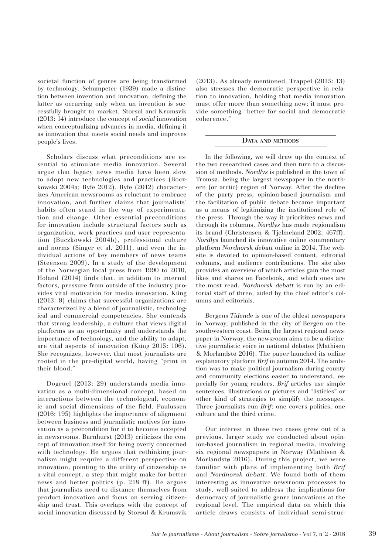societal function of genres are being transformed by technology. Schumpeter (1939) made a distinction between invention and innovation, defining the latter as occurring only when an invention is successfully brought to market. Storsul and Krumsvik (2013: 14) introduce the concept of *social* innovation when conceptualizing advances in media, defining it as innovation that meets social needs and improves people's lives.

Scholars discuss what preconditions are essential to stimulate media innovation. Several argue that legacy news media have been slow to adopt new technologies and practices (Boczkowski 2004a; Ryfe 2012). Ryfe (2012) characterizes American newsrooms as reluctant to embrace innovation, and further claims that journalists' habits often stand in the way of experimentation and change. Other essential preconditions for innovation include structural factors such as organization, work practices and user representation (Buczkowski 2004b), professional culture and norms (Singer et al. 2011), and even the individual actions of key members of news teams (Steensen 2009). In a study of the development of the Norwegian local press from 1990 to 2010, Holand (2014) finds that, in addition to internal factors, pressure from outside of the industry provides vital motivation for media innovation. Küng (2013: 9) claims that successful organizations are characterized by a blend of journalistic, technological and commercial competencies. She contends that strong leadership, a culture that views digital platforms as an opportunity and understands the importance of technology, and the ability to adapt, are vital aspects of innovation (Küng 2015: 106). She recognizes, however, that most journalists are rooted in the pre-digital world, having "print in their blood."

Dogruel (2013: 29) understands media innovation as a multi-dimensional concept, based on interactions between the technological, economic and social dimensions of the field. Paulussen (2016: 195) highlights the importance of alignment between business and journalistic motives for innovation as a precondition for it to become accepted in newsrooms. Barnhurst (2013) criticizes the concept of innovation itself for being overly concerned with technology. He argues that rethinking journalism might require a different perspective on innovation, pointing to the utility of citizenship as a vital concept, a step that might make for better news and better politics (p. 218 ff). He argues that journalists need to distance themselves from product innovation and focus on serving citizenship and trust. This overlaps with the concept of social innovation discussed by Storsul & Krumsvik

(2013). As already mentioned, Trappel (2015: 13) also stresses the democratic perspective in relation to innovation, holding that media innovation must offer more than something new; it must provide something "better for social and democratic coherence."

#### **Data and methods**

In the following, we will draw up the context of the two researched cases and then turn to a discussion of methods. *Nordlys* is published in the town of Tromsø, being the largest newspaper in the northern (or arctic) region of Norway. After the decline of the party press, opinion-based journalism and the facilitation of public debate became important as a means of legitimizing the institutional role of the press. Through the way it prioritizes news and through its columns, *Nordlys* has made regionalism its brand (Christensen & Tjelmeland 2002: 467ff). *Nordlys* launched its innovative online commentary platform *Nordnorsk debatt* online in 2014. The website is devoted to opinion-based content, editorial columns, and audience contributions. The site also provides an overview of which articles gain the most likes and shares on Facebook, and which ones are the most read. *Nordnorsk debatt* is run by an editorial staff of three, aided by the chief editor's columns and editorials.

*Bergens Tidende* is one of the oldest newspapers in Norway, published in the city of Bergen on the southwestern coast. Being the largest regional newspaper in Norway, the newsroom aims to be a distinctive journalistic voice in national debates (Mathisen & Morlandstø 2016). The paper launched its online explanatory platform *Brif* in autumn 2014. The ambition was to make political journalism during county and community elections easier to understand, especially for young readers. *Brif* articles use simple sentences, illustrations or pictures and "listicles" or other kind of strategies to simplify the messages. Three journalists run *Brif*: one covers politics, one culture and the third crime.

Our interest in these two cases grew out of a previous, larger study we conducted about opinion-based journalism in regional media, involving six regional newspapers in Norway (Mathisen & Morlandstø 2016). During this project, we were familiar with plans of implementing both *Brif*  and *Nordnorsk debatt*. We found both of them interesting as innovative newsroom processes to study, well suited to address the implications for democracy of journalistic genre innovations at the regional level. The empirical data on which this article draws consists of individual semi-struc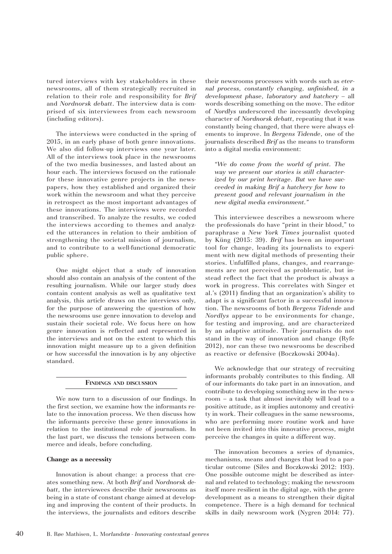tured interviews with key stakeholders in these newsrooms, all of them strategically recruited in relation to their role and responsibility for *Brif* and *Nordnorsk debatt*. The interview data is comprised of six interviewees from each newsroom (including editors).

The interviews were conducted in the spring of 2015, in an early phase of both genre innovations. We also did follow-up interviews one year later. All of the interviews took place in the newsrooms of the two media businesses, and lasted about an hour each. The interviews focused on the rationale for these innovative genre projects in the newspapers, how they established and organized their work within the newsroom and what they perceive in retrospect as the most important advantages of these innovations. The interviews were recorded and transcribed. To analyze the results, we coded the interviews according to themes and analyzed the utterances in relation to their ambition of strengthening the societal mission of journalism, and to contribute to a well-functional democratic public sphere.

One might object that a study of innovation should also contain an analysis of the content of the resulting journalism. While our larger study *does* contain content analysis as well as qualitative text analysis, this article draws on the interviews only, for the purpose of answering the question of how the newsrooms use genre innovation to develop and sustain their societal role. We focus here on how genre innovation is reflected and represented in the interviews and not on the extent to which this innovation might measure up to a given definition or how successful the innovation is by any objective standard.

#### **Findings and discussion**

We now turn to a discussion of our findings. In the first section, we examine how the informants relate to the innovation process. We then discuss how the informants perceive these genre innovations in relation to the institutional role of journalism. In the last part, we discuss the tensions between commerce and ideals, before concluding.

#### **Change as a necessity**

Innovation is about change: a process that creates something new. At both *Brif* and *Nordnorsk debatt*, the interviewees describe their newsrooms as being in a state of constant change aimed at developing and improving the content of their products. In the interviews, the journalists and editors describe their newsrooms processes with words such as *eternal process, constantly changing, unfinished, in a development phase, laboratory and hatchery* – all words describing something on the move. The editor of *Nordlys* underscored the incessantly developing character of *Nordnorsk debatt*, repeating that it was constantly being changed, that there were always elements to improve. In *Bergens Tidende*, one of the journalists described *Brif* as the means to transform into a digital media environment:

*"We do come from the world of print. The way we present our stories is still characterized by our print heritage. But we have succeeded in making Brif a hatchery for how to present good and relevant journalism in the new digital media environment."*

This interviewee describes a newsroom where the professionals do have "print in their blood," to paraphrase a *New York Times* journalist quoted by Küng (2015: 39). *Brif* has been an important tool for change, leading its journalists to experiment with new digital methods of presenting their stories. Unfulfilled plans, changes, and rearrangements are not perceived as problematic, but instead reflect the fact that the product is always a work in progress. This correlates with Singer et al.'s (2011) finding that an organization's ability to adapt is a significant factor in a successful innovation. The newsrooms of both *Bergens Tidende* and *Nordlys* appear to be environments for change, for testing and improving, and are characterized by an adaptive attitude. Their journalists do not stand in the way of innovation and change (Ryfe 2012), nor can these two newsrooms be described as reactive or defensive (Boczkowski 2004a).

We acknowledge that our strategy of recruiting informants probably contributes to this finding. All of our informants do take part in an innovation, and contribute to developing something new in the newsroom – a task that almost inevitably will lead to a positive attitude, as it implies autonomy and creativity in work. Their colleagues in the same newsrooms, who are performing more routine work and have not been invited into this innovative process, might perceive the changes in quite a different way.

The innovation becomes a series of dynamics, mechanisms, means and changes that lead to a particular outcome (Siles and Boczkowski 2012: 193). One possible outcome might be described as internal and related to technology; making the newsroom itself more resilient in the digital age, with the genre development as a means to strengthen their digital competence. There is a high demand for technical skills in daily newsroom work (Nygren 2014: 77).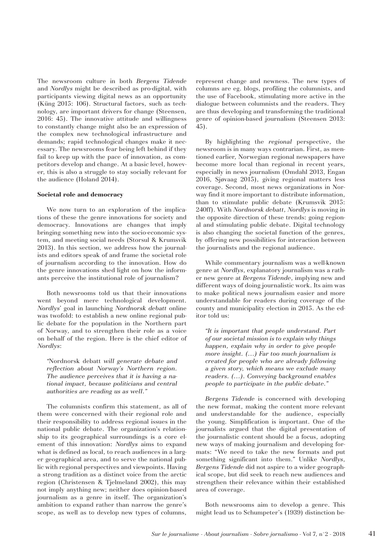The newsroom culture in both *Bergens Tidende* and *Nordlys* might be described as pro-digital, with participants viewing digital news as an opportunity (Küng 2015: 106). Structural factors, such as technology, are important drivers for change (Steensen, 2016: 45). The innovative attitude and willingness to constantly change might also be an expression of the complex new technological infrastructure and demands; rapid technological changes make it necessary. The newsrooms fear being left behind if they fail to keep up with the pace of innovation, as competitors develop and change. At a basic level, however, this is also a struggle to stay socially relevant for the audience (Holand 2014).

#### **Societal role and democracy**

We now turn to an exploration of the implications of these the genre innovations for society and democracy. Innovations are changes that imply bringing something new into the socio-economic system, and meeting social needs (Storsul & Krumsvik 2013). In this section, we address how the journalists and editors speak of and frame the societal role of journalism according to the innovation. How do the genre innovations shed light on how the informants perceive the institutional role of journalism?

Both newsrooms told us that their innovations went beyond mere technological development. *Nordlys*' goal in launching *Nordnorsk debatt* online was twofold: to establish a new online regional public debate for the population in the Northern part of Norway, and to strengthen their role as a voice on behalf of the region. Here is the chief editor of *Nordlys*:

*"*Nordnorsk debatt *will generate debate and reflection about Norway's Northern region. The audience perceives that it is having a national impact, because politicians and central authorities are reading us as well."*

The columnists confirm this statement, as all of them were concerned with their regional role and their responsibility to address regional issues in the national public debate. The organization's relationship to its geographical surroundings is a core element of this innovation: *Nordlys* aims to expand what is defined as local, to reach audiences in a larger geographical area, and to serve the national public with regional perspectives and viewpoints. Having a strong tradition as a distinct voice from the arctic region (Christensen & Tjelmeland 2002), this may not imply anything new; neither does opinion-based journalism as a genre in itself. The organization's ambition to expand rather than narrow the genre's scope, as well as to develop new types of columns,

represent change and newness. The new types of columns are eg. blogs, profiling the columnists, and the use of Facebook, stimulating more active in the dialogue between columnists and the readers. They are thus developing and transforming the traditional genre of opinion-based journalism (Steensen 2013: 45).

By highlighting the *regional* perspective, the newsroom is in many ways contrarian. First, as mentioned earlier, Norwegian regional newspapers have become more local than regional in recent years, especially in news journalism (Omdahl 2013, Engan 2016, Sjøvaag 2015), giving regional matters less coverage. Second, most news organizations in Norway find it more important to distribute information, than to stimulate public debate (Krumsvik 2015: 240ff). With *Nordnorsk debatt*, *Nordlys* is moving in the opposite direction of these trends: going regional and stimulating public debate. Digital technology is also changing the societal function of the genres, by offering new possibilities for interaction between the journalists and the regional audience.

While commentary journalism was a well-known genre at *Nordlys*, explanatory journalism was a rather new genre at *Bergens Tidende*, implying new and different ways of doing journalistic work. Its aim was to make political news journalism easier and more understandable for readers during coverage of the county and municipality election in 2015. As the editor told us:

*"It is important that people understand. Part of our societal mission is to explain why things happen, explain why in order to give people more insight. (…) Far too much journalism is created for people who are already following a given story, which means we exclude many readers. (…). Conveying background enables people to participate in the public debate."*

*Bergens Tidende* is concerned with developing the new format, making the content more relevant and understandable for the audience, especially the young. Simplification is important. One of the journalists argued that the digital presentation of the journalistic content should be a focus, adopting new ways of making journalism and developing formats: "We need to take the new formats and put something significant into them." Unlike *Nordlys*, *Bergens Tidende* did not aspire to a wider geographical scope, but did seek to reach new audiences and strengthen their relevance within their established area of coverage.

Both newsrooms aim to develop a genre. This might lead us to Schumpeter's (1939) distinction be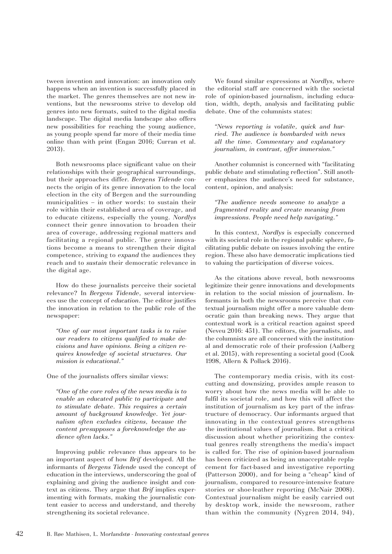tween invention and innovation: an innovation only happens when an invention is successfully placed in the market. The genres themselves are not new inventions, but the newsrooms strive to develop old genres into new formats, suited to the digital media landscape. The digital media landscape also offers new possibilities for reaching the young audience, as young people spend far more of their media time online than with print (Engan 2016; Curran et al. 2013).

Both newsrooms place significant value on their relationships with their geographical surroundings, but their approaches differ. *Bergens Tidende* connects the origin of its genre innovation to the local election in the city of Bergen and the surrounding municipalities – in other words: to sustain their role within their established area of coverage, and to educate citizens, especially the young. *Nordlys* connect their genre innovation to broaden their area of coverage, addressing regional matters and facilitating a regional public. The genre innovations become a means to strengthen their digital competence, striving to *expand* the audiences they reach and to *sustain* their democratic relevance in the digital age.

How do these journalists perceive their societal relevance? In *Bergens Tidende*, several interviewees use the concept of *education.* The editor justifies the innovation in relation to the public role of the newspaper:

*"One of our most important tasks is to raise our readers to citizens qualified to make decisions and have opinions. Being a citizen requires knowledge of societal structures. Our mission is educational."*

One of the journalists offers similar views:

*"One of the core roles of the news media is to enable an educated public to participate and to stimulate debate. This requires a certain amount of background knowledge. Yet journalism often excludes citizens, because the content presupposes a foreknowledge the audience often lacks."*

Improving public relevance thus appears to be an important aspect of how *Brif* developed. All the informants of *Bergens Tidende* used the concept of education in the interviews, underscoring the goal of explaining and giving the audience insight and context as citizens. They argue that *Brif* implies experimenting with formats, making the journalistic content easier to access and understand, and thereby strengthening its societal relevance.

We found similar expressions at *Nordlys*, where the editorial staff are concerned with the societal role of opinion-based journalism, including education, width, depth, analysis and facilitating public debate. One of the columnists states:

*"News reporting is volatile, quick and hurried. The audience is bombarded with news all the time. Commentary and explanatory journalism, in contrast, offer immersion."* 

Another columnist is concerned with "facilitating public debate and stimulating reflection". Still another emphasizes the audience's need for substance, content, opinion, and analysis:

# *"The audience needs someone to analyze a fragmented reality and create meaning from impressions. People need help navigating."*

In this context, *Nordlys* is especially concerned with its societal role in the regional public sphere, facilitating public debate on issues involving the entire region. These also have democratic implications tied to valuing the participation of diverse voices.

As the citations above reveal, both newsrooms legitimize their genre innovations and developments in relation to the social mission of journalism. Informants in both the newsrooms perceive that contextual journalism might offer a more valuable democratic gain than breaking news. They argue that contextual work is a critical reaction against speed (Neveu 2016: 451). The editors, the journalists, and the columnists are all concerned with the institutional and democratic role of their profession (Aalberg et al. 2015), with representing a societal good (Cook 1998, Allern & Pollack 2016).

The contemporary media crisis, with its costcutting and downsizing, provides ample reason to worry about how the news media will be able to fulfil its societal role, and how this will affect the institution of journalism as key part of the infrastructure of democracy. Our informants argued that innovating in the contextual genres strengthens the institutional values of journalism. But a critical discussion about whether prioritizing the contextual genres really strengthens the media's impact is called for. The rise of opinion-based journalism has been criticized as being an unacceptable replacement for fact-based and investigative reporting (Patterson 2000), and for being a "cheap" kind of journalism, compared to resource-intensive feature stories or shoe-leather reporting (McNair 2008). Contextual journalism might be easily carried out by desktop work, inside the newsroom, rather than within the community (Nygren 2014, 94),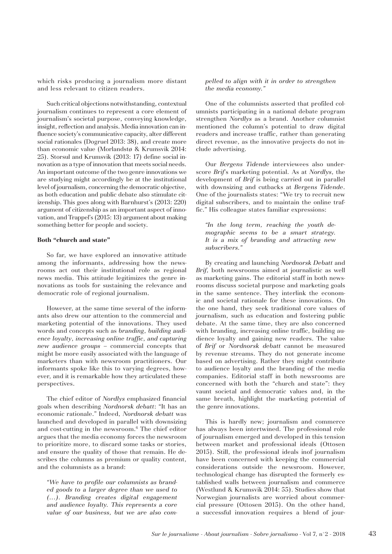which risks producing a journalism more distant and less relevant to citizen readers.

Such critical objections notwithstanding, contextual journalism continues to represent a core element of journalism's societal purpose, conveying knowledge, insight, reflection and analysis. Media innovation can influence society's communicative capacity, alter different social rationales (Dogruel 2013: 38), and create more than economic value (Morlandstø & Krumsvik 2014: 25). Storsul and Krumsvik (2013: 17) define social innovation as a type of innovation that meets social needs. An important outcome of the two genre innovations we are studying might accordingly be at the institutional level of journalism, concerning the democratic objective, as both education and public debate also stimulate citizenship. This goes along with Barnhurst's (2013: 220) argument of citizenship as an important aspect of innovation, and Trappel's (2015: 13) argument about making something better for people and society.

#### **Both "church and state"**

So far, we have explored an innovative attitude among the informants, addressing how the newsrooms act out their institutional role as regional news media. This attitude legitimizes the genre innovations as tools for sustaining the relevance and democratic role of regional journalism.

However, at the same time several of the informants also drew our attention to the commercial and marketing potential of the innovations. They used words and concepts such as *branding*, *building audience loyalty*, *increasing online traffic*, *and capturing new audience groups* – commercial concepts that might be more easily associated with the language of marketers than with newsroom practitioners. Our informants spoke like this to varying degrees, however, and it is remarkable how they articulated these perspectives.

The chief editor of *Nordlys* emphasized financial goals when describing *Nordnorsk debatt*: "It has an economic rationale." Indeed, *Nordnorsk debatt* was launched and developed in parallel with downsizing and cost-cutting in the newsroom.6 The chief editor argues that the media economy forces the newsroom to prioritize more, to discard some tasks or stories, and ensure the quality of those that remain. He describes the columns as premium or quality content, and the columnists as a brand:

*"We have to profile our columnists as branded goods to a larger degree than we used to (...). Branding creates digital engagement and audience loyalty. This represents a core value of our business, but we are also com-* *pelled to align with it in order to strengthen the media economy."*

One of the columnists asserted that profiled columnists participating in a national debate program strengthen *Nordlys* as a brand. Another columnist mentioned the column's potential to draw digital readers and increase traffic, rather than generating direct revenue, as the innovative projects do not include advertising.

Our *Bergens Tidende* interviewees also underscore *Brif*'s marketing potential*.* As at *Nordlys*, the development of *Brif* is being carried out in parallel with downsizing and cutbacks at *Bergens Tidende*. One of the journalists states: "We try to recruit new digital subscribers, and to maintain the online traffic." His colleague states familiar expressions:

*"In the long term, reaching the youth demographic seems to be a smart strategy. It is a mix of branding and attracting new subscribers."*

By creating and launching *Nordnorsk Debatt* and *Brif,* both newsrooms aimed at journalistic as well as marketing gains. The editorial staff in both newsrooms discuss societal purpose and marketing goals in the same sentence. They interlink the economic and societal rationale for these innovations. On the one hand, they seek traditional core values of journalism, such as education and fostering public debate. At the same time, they are also concerned with branding, increasing online traffic, building audience loyalty and gaining new readers. The value of *Brif* or *Nordnorsk debatt* cannot be measured by revenue streams. They do not generate income based on advertising. Rather they might contribute to audience loyalty and the branding of the media companies. Editorial staff in both newsrooms are concerned with both the "church and state": they vaunt societal and democratic values and, in the same breath, highlight the marketing potential of the genre innovations.

This is hardly new; journalism and commerce has always been intertwined. The professional role of journalism emerged and developed in this tension between market and professional ideals (Ottosen 2015). Still, the professional ideals inof journalism have been concerned with keeping the commercial considerations outside the newsroom. However, technological change has disrupted the formerly established walls between journalism and commerce (Westlund & Krumsvik 2014: 55). Studies show that Norwegian journalists are worried about commercial pressure (Ottosen 2015). On the other hand, a successful innovation requires a blend of jour-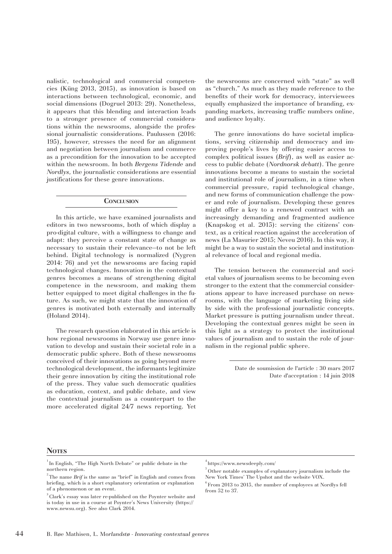nalistic, technological and commercial competencies (Küng 2013, 2015), as innovation is based on interactions between technological, economic, and social dimensions (Dogruel 2013: 29). Nonetheless, it appears that this blending and interaction leads to a stronger presence of commercial considerations within the newsrooms, alongside the professional journalistic considerations. Paulussen (2016: 195), however, stresses the need for an alignment and negotiation between journalism and commerce as a precondition for the innovation to be accepted within the newsroom. In both *Bergens Tidende* and *Nordlys,* the journalistic considerations are essential justifications for these genre innovations.

# **Conclusion**

In this article, we have examined journalists and editors in two newsrooms, both of which display a pro-digital culture, with a willingness to change and adapt: they perceive a constant state of change as necessary to sustain their relevance—to not be left behind. Digital technology is normalized (Nygren 2014: 76) and yet the newsrooms are facing rapid technological changes. Innovation in the contextual genres becomes a means of strengthening digital competence in the newsroom, and making them better equipped to meet digital challenges in the future. As such, we might state that the innovation of genres is motivated both externally and internally (Holand 2014).

The research question elaborated in this article is how regional newsrooms in Norway use genre innovation to develop and sustain their societal role in a democratic public sphere. Both of these newsrooms conceived of their innovations as going beyond mere technological development, the informants legitimize their genre innovation by citing the institutional role of the press. They value such democratic qualities as education, context, and public debate, and view the contextual journalism as a counterpart to the more accelerated digital 24/7 news reporting. Yet the newsrooms are concerned with "state" as well as "church." As much as they made reference to the benefits of their work for democracy, interviewees equally emphasized the importance of branding, expanding markets, increasing traffic numbers online, and audience loyalty.

The genre innovations do have societal implications, serving citizenship and democracy and improving people's lives by offering easier access to complex political issues (*Brif*), as well as easier access to public debate (*Nordnorsk debatt*). The genre innovations become a means to sustain the societal and institutional role of journalism, in a time when commercial pressure, rapid technological change, and new forms of communication challenge the power and role of journalism. Developing these genres might offer a key to a renewed contract with an increasingly demanding and fragmented audience (Knapskog et al. 2015): serving the citizens' context, as a critical reaction against the acceleration of news (La Masurier 2015; Neveu 2016). In this way, it might be a way to sustain the societal and institutional relevance of local and regional media.

The tension between the commercial and societal values of journalism seems to be becoming even stronger to the extent that the commercial considerations appear to have increased purchase on newsrooms, with the language of marketing living side by side with the professional journalistic concepts. Market pressure is putting journalism under threat. Developing the contextual genres might be seen in this light as a strategy to protect the institutional values of journalism and to sustain the role of journalism in the regional public sphere.

> Date de soumission de l'article : 30 mars 2017 Date d'acceptation : 14 juin 2018

## **Notes**

4 https://www.newsdeeply.com/

<sup>&</sup>lt;sup>1</sup> In English, "The High North Debate" or public debate in the northern region.

<sup>&</sup>lt;sup>2</sup> The name *Brif* is the same as "brief" in English and comes from briefing, which is a short explanatory orientation or explanation of a phenomenon or an event.

<sup>3</sup> Clark's essay was later re-published on the Poynter website and is today in use in a course at Poynter's News University (https:// www.newsu.org). See also Clark 2014.

<sup>&</sup>lt;sup>5</sup> Other notable examples of explanatory journalism include the New York Times' The Upshot and the website VOX.

 $^6\rm{From}$  2013 to 2015, the number of employees at Nordlys fell from 52 to 37.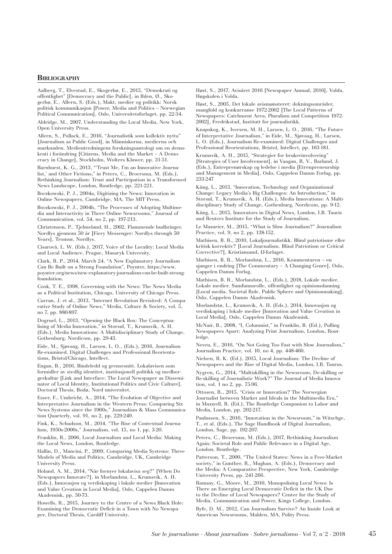# **Bibliography**

Aalberg, T., Elvestad, E., Skogerbø, E., 2015, "Demokrati og offentlighet" [Democracy and the Public], in Ihlen, Ø., Skogerbø, E., Allern, S. (Eds.), Makt, medier og politikk: Norsk politisk kommunikasjon [Power, Media and Politics – Norwegian Political Communication], Oslo, Universitetsforlaget, pp. 22-34.

Aldridge, M., 2007, Understanding the Local Media, New York, Open University Press.

Allern, S., Pollack, E., 2016, "Journalistik som kollektiv nytta" [Journalism as Public Good], in Människorna, medierna och marknaden. Medieutredningens forskningsantologi om en demokrati i forändring [Citizens, Media and the Market – A Democracy in Change], Stockholm, Wolters Kluwer, pp. 31-51.

Barnhurst, K. G., 2013, "'Trust Me, I'm an Innovative Journalist,' and Other Fictions," in Peters, C., Broersma, M. (Eds.), Rethinking Journalism: Trust and Participation in a Transformed News Landscape, London, Routledge, pp. 221-221.

Boczkowski, P. J., 2004a, Digitizing the News: Innovation in Online Newspapers, Cambridge, MA, The MIT Press.

Boczkowski, P. J., 2004b, "The Processes of Adopting Multimedia and Interactivity in Three Online Newsrooms," Journal of Communication, vol. 54, no 2, pp. 197-213.

Christensen, P., Tjelmeland, H., 2002, Flammende budbringer. Nordlys gjennom 50 år [Fiery Messenger: Nordlys through 50 Years], Tromsø, Nordlys.

Císarová, L. W. (Eds.), 2017, Voice of the Locality: Local Media and Local Audience, Prague, Masaryk University.

Clark, R. P., 2014, March 24, "A New Explanatory Journalism Can Be Built on a Strong Foundation", Poynter, https://www. poynter.org/news/new-explanatory-journalism-can-be-built-strongfoundation.

Cook, T. E., 1998, Governing with the News: The News Media as a Political Institution, Chicago, University of Chicago Press.

Curran, J. et al., 2013, "Internet Revolution Revisited: A Comparative Study of Online News," Media, Culture & Society, vol. 5, no 7, pp. 880-897.

Dogruel, L., 2013, "Opening the Black Box: The Conceptualising of Media Innovation," in Storsul, T., Krumsvik, A. H. (Eds.), Media Innovations: A Multidisciplinary Study of Change, Gothenburg, Nordicom, pp. 29-43.

Eide, M., Sjøvaag, H., Larsen, L. O., (Eds.), 2016, Journalism Re-examined. Digital Challenges and Professional Reorientations, Bristol/Chicago, Intellect.

Engan, B., 2016, Bindeledd og grensesnitt. Lokalavisen som formidler av stedlig identitet, institusjonell politikk og medborgerkultur [Link and Interface: The Local Newspaper as Disseminator of Local Identity, Institutional Politics and Civic Culture], Doctoral Thesis, Bodø, Nord universitet.

Esser, F., Umbricht, A., 2014, "The Evolution of Objective and Interpretative Journalism in the Western Press: Comparing Six News Systems since the 1960s," Journalism & Mass Communication Quarterly, vol. 91, no 2, pp. 229-249.

Fink, K., Schudson, M., 2014, "The Rise of Contextual Journalism, 1950s-2000s," Journalism, vol. 15, no 1, pp. 3-20.

Franklin, B., 2006, Local Journalism and Local Media: Making the Local News, London, Routledge.

Hallin, D., Mancini, P., 2009, Comparing Media Systems: Three Models of Media and Politics, Cambridge, UK, Cambridge University Press.

Holand, A. M., 2014, "Når fornyer lokalavisa seg?" [When Do Newspapers Innovate?], in Morlandstø, L., Krumsvik, A. H. (Eds.), Innovasjon og verdiskaping i lokale medier [Innovation and Value Creation in Local Media], Oslo, Cappelen Damm Akademisk, pp. 50-73.

Howells, R., 2015, Journey to the Centre of a News Black Hole: Examining the Democratic Deficit in a Town with No Newspaper, Doctoral Thesis, Cardiff University.

Høst, S., 2017, Avisåret 2016 [Newspaper Annual, 2016], Volda, Høgskulen i Volda.

Høst, S., 2005, Det lokale avismønsteret: dekningsområder, mangfold og konkurranse 1972-2002 [The Local Patterns of Newspapers: Catchment Area, Pluralism and Competition 1972- 2002], Fredrikstad, Institutt for journalistikk.

Knapskog, K., Iversen, M. H., Larsen, L. O., 2016, "The Future of Interpretative Journalism," in Eide, M., Sjøvaag, H., Larsen, L. O. (Eds.), Journalism Re-examined: Digital Challenges and Professional Reorientations, Bristol, Intellect, pp. 163-181.

Krumsvik, A. H., 2015, "Strategier for brukerinvolvering" [Strategies of User Involvement], in Vaagan, R. V., Barland, J. (Eds.), Entreprenørskap og ledelse i media [Etrenpreneurship and Management in Media], Oslo, Cappelen Damm Forlag, pp. 233-247

Küng, L., 2013, "Innovation, Technology and Organizational Change: Legacy Media's Big Challenges: An Introduction," in Storsul, T., Krumsvik, A. H. (Eds.), Media Innovations: A Multidisciplinary Study of Change, Gothenburg, Nordicom, pp. 9-12.

Küng, L., 2015, Innovators in Digital News, London, I.B. Tauris and Reuters Institute for the Study of Journalism.

Le Masurier, M., 2015, "What is Slow Journalism?" Journalism Practice, vol. 9, no 2, pp. 138-152.

Mathisen, B. R., 2010, Lokaljournalistikk. Blind patriotisme eller kritisk korrektiv? [Local Journalism. Blind Patriotism or Critical Corrective?], Kristiansand, IJ-forlaget.

Mathisen, B. R., Morlandstø, L., 2016, Kommentaren – en sjanger i endring [The Commentary – A Changing Genre], Oslo, Cappelen Damm Forlag.

Mathisen, B. R., Morlandstø, L., (Eds.), 2018, Lokale medier. Lokale medier. Samfunnsrolle, offentlighet og opinionsdanning [Local media. Societal Role, Public Sphere and Opinionmaking], Oslo, Cappelen Damm Akademisk.

Morlandstø, L., Krumsvik, A. H. (Eds.), 2014, Innovasjon og verdiskaping i lokale medier [Innovation and Value Creation in Local Media], Oslo, Cappelen Damm Akademisk.

McNair, B., 2008, "I, Columnist," in Franklin, B. (Ed.), Pulling Newspapers Apart: Analyzing Print Journalism, London, Routledge.

Neveu, E., 2016, "On Not Going Too Fast with Slow Journalism," Journalism Practice, vol. 10, no 4, pp. 448-460.

Nielsen, R. K. (Ed.), 2015, Local Journalism: The Decline of Newspapers and the Rise of Digital Media, London, I.B. Taurus.

Nygren, G., 2014, "Multiskilling in the Newsroom, De-skilling or Re-skilling of Journalistic Work?" The Journal of Media Innovation, vol. 1 no 2, pp. 75-96.

Ottosen, R., 2015, "Crisis or Innovation? The Norwegian Journalist between Market and Ideals in the Multimedia Era," in Maxwell, R. (Ed.), The Routledge Companion to Labor and Media, London, pp. 202-217.

Paulussen, S., 2016, "Innovation in the Newsroom," in Witschge, T., et al. (Eds.), The Sage Handbook of Digital Journalism, London, Sage, pp. 192-207.

Peters, C., Broersma, M. (Eds.), 2017, Rethinking Journalism Again: Societal Role and Public Relevance in a Digital Age, London, Routledge.

Patterson, T., 2000, "The United States: News in a Free-Market society," in Gunther, R., Mughan, A. (Eds.), Democracy and the Media: A Comparative Perspective, New York, Cambridge University Press, pp. 241-266.

Ramsay, G., Moore, M., 2016, Monopolising Local News: Is There an Emerging Local Democratic Deficit in the UK Due to the Decline of Local Newspapers? Center for the Study of Media, Communication and Power, Kings College, London.

Ryfe, D. M., 2012, Can Journalism Survive? An Inside Look at American Newsrooms, Malden, MA, Polity Press.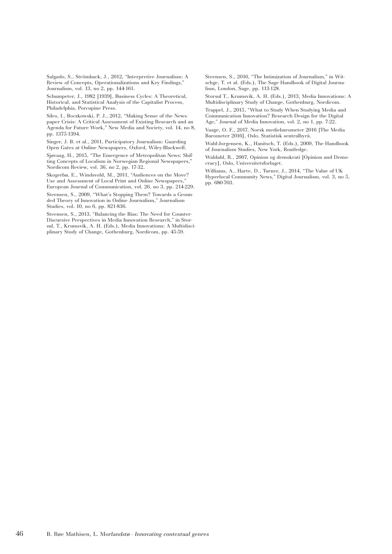Salgado, S., Strömback, J., 2012, "Interpretive Journalism: A Review of Concepts, Operationalizations and Key Findings," Journalism, vol. 13, no 2, pp. 144-161.

Schumpeter, J., 1982 [1939], Business Cycles: A Theoretical, Historical, and Statistical Analysis of the Capitalist Process, Philadelphia, Porcupine Press.

Siles, I., Boczkowski, P. J., 2012, "Making Sense of the Newspaper Crisis: A Critical Assessment of Existing Research and an Agenda for Future Work," New Media and Society, vol. 14, no 8, pp. 1375-1394.

Singer, J. B. et al., 2011, Participatory Journalism: Guarding Open Gates at Online Newspapers, Oxford, Wiley-Blackwell.

Sjøvaag, H., 2015, "The Emergence of Metropolitan News: Shifting Concepts of Localism in Norwegian Regional Newspapers," Nordicom Review, vol. 36, no 2, pp. 17-32.

Skogerbø, E., Windsvold, M., 2011, "Audiences on the Move? Use and Assessment of Local Print and Online Newspapers, European Journal of Communication, vol. 26, no 3, pp. 214-229.

Steensen, S., 2009, "What's Stopping Them? Towards a Grounded Theory of Innovation in Online Journalism," Journalism Studies, vol. 10, no 6, pp. 821-836.

Steensen, S., 2013, "Balancing the Bias: The Need for Counter-Discursive Perspectives in Media Innovation Research," in Storsul, T., Krumsvik, A. H. (Eds.), Media Innovations: A Multidisciplinary Study of Change, Gothenburg, Nordicom, pp. 45-59.

Steensen, S., 2016, "The Intimization of Journalism," in Witschge, T. et al. (Eds.), The Sage Handbook of Digital Journalism, London, Sage, pp. 113-128.

Storsul T., Krumsvik, A. H. (Eds.), 2013, Media Innovations: A Multidisciplinary Study of Change, Gothenburg, Nordicom.

Trappel, J., 2015, "What to Study When Studying Media and Communication Innovation? Research Design for the Digital Age," Journal of Media Innovation, vol. 2, no 1, pp. 7-22.

Vaage, O. F., 2017, Norsk mediebarometer 2016 [The Media Barometer 2016], Oslo, Statistisk sentralbyrå.

Wahl-Jorgensen, K., Hanitsch, T. (Eds.), 2009, The Handbook of Journalism Studies, New York, Routledge.

Waldahl, R., 2007, Opinion og demokrati [Opinion and Democracy], Oslo, Universitetsforlaget.

Williams, A., Harte, D., Turner, J., 2014, "The Value of UK Hyperlocal Community News," Digital Journalism, vol. 3, no 5, pp. 680-703.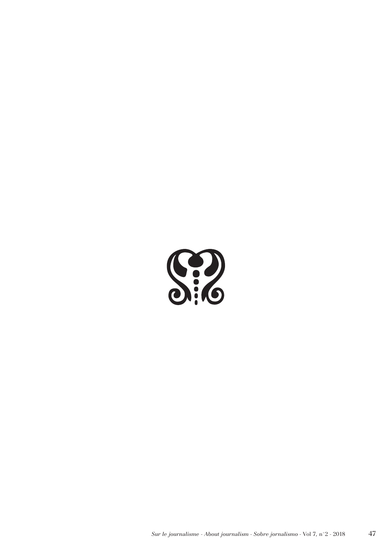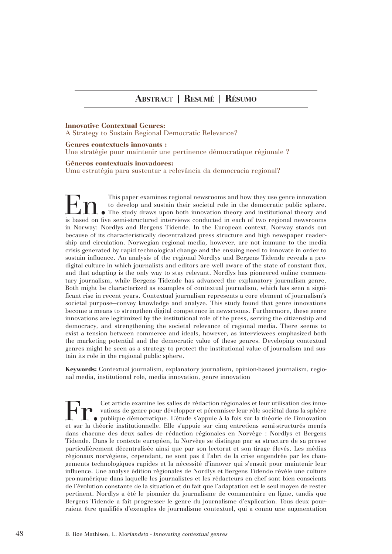# **Abstrac**t **| Resumé** | **Résumo**

#### **Innovative Contextual Genres:**

A Strategy to Sustain Regional Democratic Relevance?

## **Genres contextuels innovants :**

Une stratégie pour maintenir une pertinence démocratique régionale ?

#### **Gêneros contextuais inovadores:**

Uma estratégia para sustentar a relevância da democracia regional?

This paper examines regional newsrooms and how they use genre innovation to develop and sustain their societal role in the democratic public sphere. The study draws upon both innovation theory and institutional theory and is based on five semi-structured interviews conducted in each of two regional newsrooms in Norway: Nordlys and Bergens Tidende. In the European context, Norway stands out because of its characteristically decentralized press structure and high newspaper readership and circulation. Norwegian regional media, however, are not immune to the media crisis generated by rapid technological change and the ensuing need to innovate in order to sustain influence. An analysis of the regional Nordlys and Bergens Tidende reveals a prodigital culture in which journalists and editors are well aware of the state of constant flux, and that adapting is the only way to stay relevant. Nordlys has pioneered online commentary journalism, while Bergens Tidende has advanced the explanatory journalism genre. Both might be characterized as examples of contextual journalism, which has seen a significant rise in recent years. Contextual journalism represents a core element of journalism's societal purpose—convey knowledge and analyze. This study found that genre innovations become a means to strengthen digital competence in newsrooms. Furthermore, these genre innovations are legitimized by the institutional role of the press, serving the citizenship and democracy, and strengthening the societal relevance of regional media. There seems to exist a tension between commerce and ideals, however, as interviewees emphasized both the marketing potential and the democratic value of these genres. Developing contextual genres might be seen as a strategy to protect the institutional value of journalism and sustain its role in the regional public sphere.

**Keywords:** Contextual journalism, explanatory journalism, opinion-based journalism, regional media, institutional role, media innovation, genre innovation

Cet article examine les salles de rédaction régionales et leur utilisation des inno-<br>
vations de genre pour développer et pérenniser leur rôle sociétal dans la sphère<br>
et sur la théorie démocratique. L'étude s'appuie à la vations de genre pour développer et pérenniser leur rôle sociétal dans la sphère et sur la théorie institutionnelle. Elle s'appuie sur cinq entretiens semi-structurés menés dans chacune des deux salles de rédaction régionales en Norvège : Nordlys et Bergens Tidende. Dans le contexte européen, la Norvège se distingue par sa structure de sa presse particulièrement décentralisée ainsi que par son lectorat et son tirage élevés. Les médias régionaux norvégiens, cependant, ne sont pas à l'abri de la crise engendrée par les changements technologiques rapides et la nécessité d'innover qui s'ensuit pour maintenir leur influence. Une analyse édition régionales de Nordlys et Bergens Tidende révèle une culture pro-numérique dans laquelle les journalistes et les rédacteurs en chef sont bien conscients de l'évolution constante de la situation et du fait que l'adaptation est le seul moyen de rester pertinent. Nordlys a été le pionnier du journalisme de commentaire en ligne, tandis que Bergens Tidende a fait progresser le genre du journalisme d'explication. Tous deux pourraient être qualifiés d'exemples de journalisme contextuel, qui a connu une augmentation